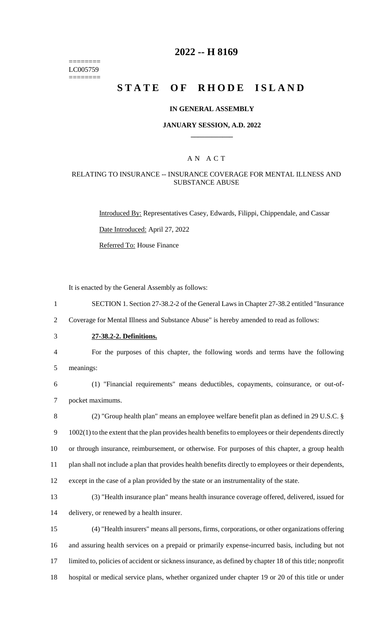======== LC005759 ========

### **2022 -- H 8169**

# **STATE OF RHODE ISLAND**

#### **IN GENERAL ASSEMBLY**

#### **JANUARY SESSION, A.D. 2022 \_\_\_\_\_\_\_\_\_\_\_\_**

### A N A C T

#### RELATING TO INSURANCE -- INSURANCE COVERAGE FOR MENTAL ILLNESS AND SUBSTANCE ABUSE

Introduced By: Representatives Casey, Edwards, Filippi, Chippendale, and Cassar Date Introduced: April 27, 2022

Referred To: House Finance

It is enacted by the General Assembly as follows:

1 SECTION 1. Section 27-38.2-2 of the General Laws in Chapter 27-38.2 entitled "Insurance

2 Coverage for Mental Illness and Substance Abuse" is hereby amended to read as follows:

3 **27-38.2-2. Definitions.**

4 For the purposes of this chapter, the following words and terms have the following 5 meanings:

6 (1) "Financial requirements" means deductibles, copayments, coinsurance, or out-of-7 pocket maximums.

 (2) "Group health plan" means an employee welfare benefit plan as defined in 29 U.S.C. § 1002(1) to the extent that the plan provides health benefits to employees or their dependents directly or through insurance, reimbursement, or otherwise. For purposes of this chapter, a group health plan shall not include a plan that provides health benefits directly to employees or their dependents, except in the case of a plan provided by the state or an instrumentality of the state.

13 (3) "Health insurance plan" means health insurance coverage offered, delivered, issued for 14 delivery, or renewed by a health insurer.

 (4) "Health insurers" means all persons, firms, corporations, or other organizations offering and assuring health services on a prepaid or primarily expense-incurred basis, including but not limited to, policies of accident or sickness insurance, as defined by chapter 18 of this title; nonprofit hospital or medical service plans, whether organized under chapter 19 or 20 of this title or under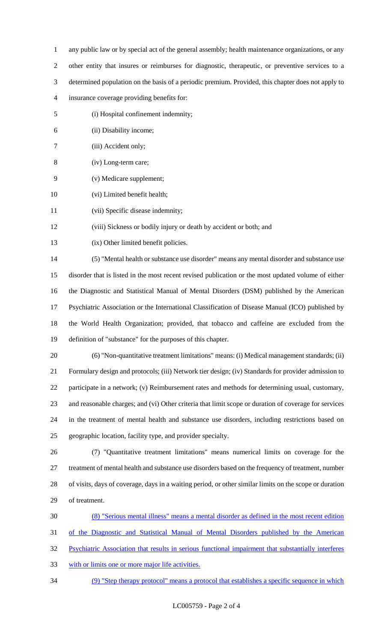- any public law or by special act of the general assembly; health maintenance organizations, or any
- other entity that insures or reimburses for diagnostic, therapeutic, or preventive services to a
- determined population on the basis of a periodic premium. Provided, this chapter does not apply to
- insurance coverage providing benefits for:
- (i) Hospital confinement indemnity;
- (ii) Disability income;
- (iii) Accident only;
- (iv) Long-term care;
- (v) Medicare supplement;
- (vi) Limited benefit health;
- (vii) Specific disease indemnity;
- (viii) Sickness or bodily injury or death by accident or both; and
- (ix) Other limited benefit policies.

 (5) "Mental health or substance use disorder" means any mental disorder and substance use disorder that is listed in the most recent revised publication or the most updated volume of either the Diagnostic and Statistical Manual of Mental Disorders (DSM) published by the American Psychiatric Association or the International Classification of Disease Manual (ICO) published by the World Health Organization; provided, that tobacco and caffeine are excluded from the definition of "substance" for the purposes of this chapter.

 (6) "Non-quantitative treatment limitations" means: (i) Medical management standards; (ii) Formulary design and protocols; (iii) Network tier design; (iv) Standards for provider admission to participate in a network; (v) Reimbursement rates and methods for determining usual, customary, and reasonable charges; and (vi) Other criteria that limit scope or duration of coverage for services in the treatment of mental health and substance use disorders, including restrictions based on geographic location, facility type, and provider specialty.

 (7) "Quantitative treatment limitations" means numerical limits on coverage for the treatment of mental health and substance use disorders based on the frequency of treatment, number of visits, days of coverage, days in a waiting period, or other similar limits on the scope or duration of treatment.

(8) "Serious mental illness" means a mental disorder as defined in the most recent edition

of the Diagnostic and Statistical Manual of Mental Disorders published by the American

- Psychiatric Association that results in serious functional impairment that substantially interferes
- with or limits one or more major life activities.
- (9) "Step therapy protocol" means a protocol that establishes a specific sequence in which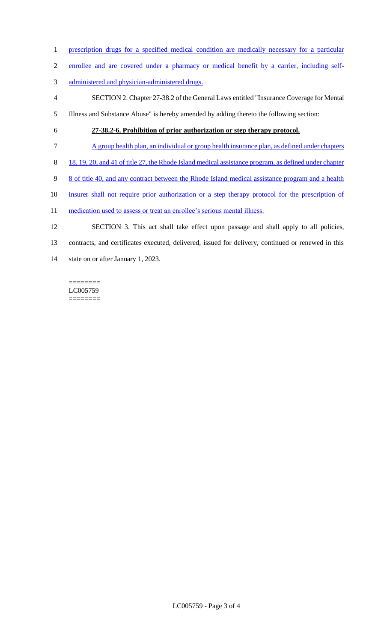- 1 prescription drugs for a specified medical condition are medically necessary for a particular
- 2 enrollee and are covered under a pharmacy or medical benefit by a carrier, including self-
- 3 administered and physician-administered drugs.
- 4 SECTION 2. Chapter 27-38.2 of the General Laws entitled "Insurance Coverage for Mental
- 5 Illness and Substance Abuse" is hereby amended by adding thereto the following section:
- 

## 6 **27-38.2-6. Prohibition of prior authorization or step therapy protocol.**

- 7 A group health plan, an individual or group health insurance plan, as defined under chapters
- 8 18, 19, 20, and 41 of title 27, the Rhode Island medical assistance program, as defined under chapter
- 9 8 of title 40, and any contract between the Rhode Island medical assistance program and a health
- 10 insurer shall not require prior authorization or a step therapy protocol for the prescription of
- 11 medication used to assess or treat an enrollee's serious mental illness.
- 12 SECTION 3. This act shall take effect upon passage and shall apply to all policies,
- 13 contracts, and certificates executed, delivered, issued for delivery, continued or renewed in this
- 14 state on or after January 1, 2023.

======== LC005759 ========